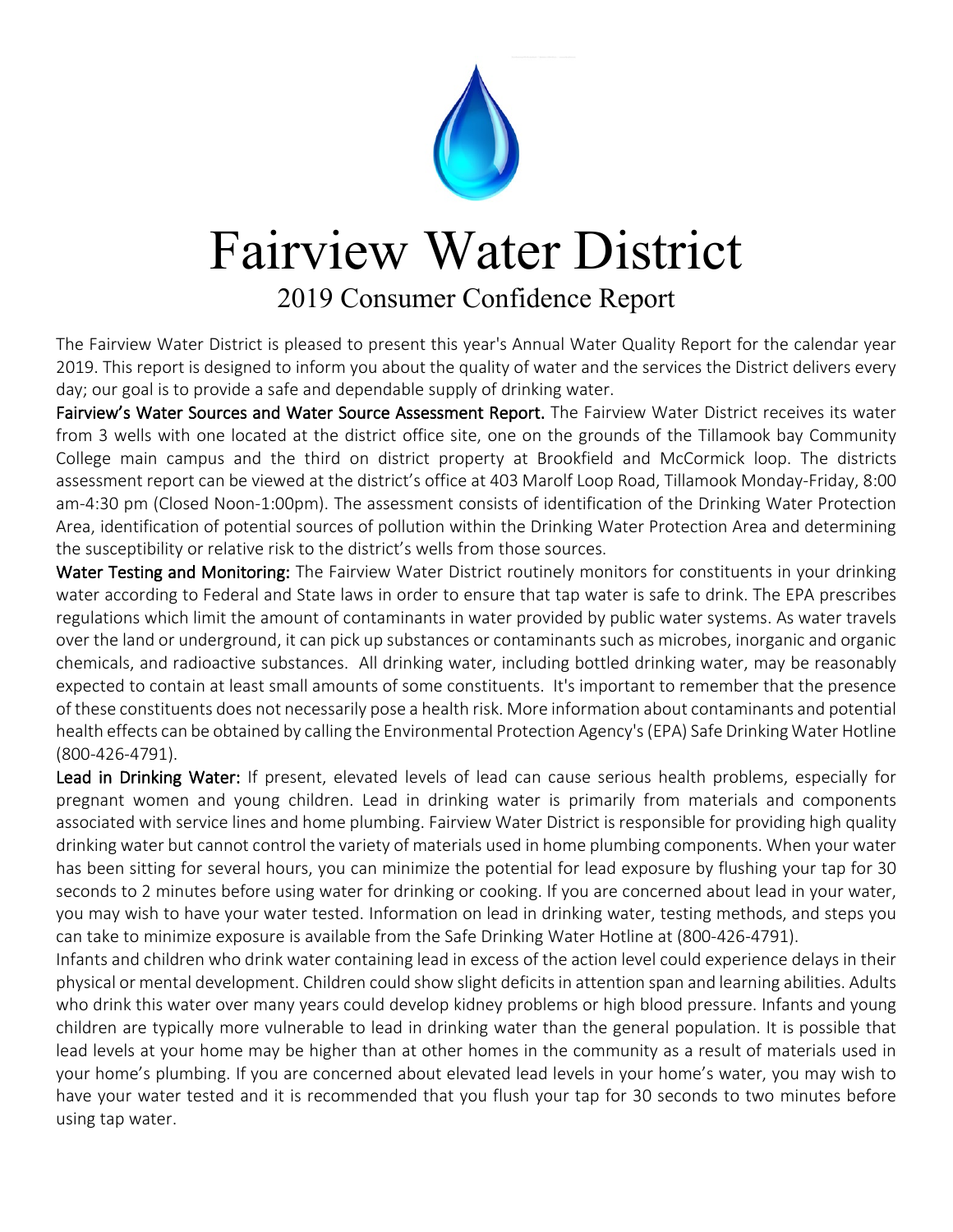

## Fairview Water District

## 2019 Consumer Confidence Report

The Fairview Water District is pleased to present this year's Annual Water Quality Report for the calendar year 2019. This report is designed to inform you about the quality of water and the services the District delivers every day; our goal is to provide a safe and dependable supply of drinking water.

Fairview's Water Sources and Water Source Assessment Report. The Fairview Water District receives its water from 3 wells with one located at the district office site, one on the grounds of the Tillamook bay Community College main campus and the third on district property at Brookfield and McCormick loop. The districts assessment report can be viewed at the district's office at 403 Marolf Loop Road, Tillamook Monday-Friday, 8:00 am-4:30 pm (Closed Noon-1:00pm). The assessment consists of identification of the Drinking Water Protection Area, identification of potential sources of pollution within the Drinking Water Protection Area and determining the susceptibility or relative risk to the district's wells from those sources.

Water Testing and Monitoring: The Fairview Water District routinely monitors for constituents in your drinking water according to Federal and State laws in order to ensure that tap water is safe to drink. The EPA prescribes regulations which limit the amount of contaminants in water provided by public water systems. As water travels over the land or underground, it can pick up substances or contaminants such as microbes, inorganic and organic chemicals, and radioactive substances. All drinking water, including bottled drinking water, may be reasonably expected to contain at least small amounts of some constituents. It's important to remember that the presence of these constituents does not necessarily pose a health risk. More information about contaminants and potential health effects can be obtained by calling the Environmental Protection Agency's (EPA) Safe Drinking Water Hotline (800-426-4791).

Lead in Drinking Water: If present, elevated levels of lead can cause serious health problems, especially for pregnant women and young children. Lead in drinking water is primarily from materials and components associated with service lines and home plumbing. Fairview Water District is responsible for providing high quality drinking water but cannot control the variety of materials used in home plumbing components. When your water has been sitting for several hours, you can minimize the potential for lead exposure by flushing your tap for 30 seconds to 2 minutes before using water for drinking or cooking. If you are concerned about lead in your water, you may wish to have your water tested. Information on lead in drinking water, testing methods, and steps you can take to minimize exposure is available from the Safe Drinking Water Hotline at (800-426-4791).

Infants and children who drink water containing lead in excess of the action level could experience delays in their physical or mental development. Children could show slight deficits in attention span and learning abilities. Adults who drink this water over many years could develop kidney problems or high blood pressure. Infants and young children are typically more vulnerable to lead in drinking water than the general population. It is possible that lead levels at your home may be higher than at other homes in the community as a result of materials used in your home's plumbing. If you are concerned about elevated lead levels in your home's water, you may wish to have your water tested and it is recommended that you flush your tap for 30 seconds to two minutes before using tap water.